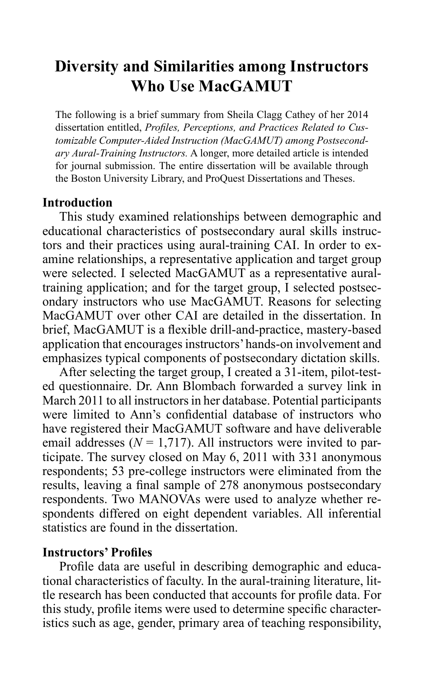# **Diversity and Similarities among Instructors Who Use MacGAMUT**

The following is a brief summary from Sheila Clagg Cathey of her 2014 dissertation entitled, *Profiles, Perceptions, and Practices Related to Customizable Computer-Aided Instruction (MacGAMUT) among Postsecondary Aural-Training Instructors.* A longer, more detailed article is intended for journal submission. The entire dissertation will be available through the Boston University Library, and ProQuest Dissertations and Theses.

## **Introduction**

This study examined relationships between demographic and educational characteristics of postsecondary aural skills instructors and their practices using aural-training CAI. In order to examine relationships, a representative application and target group were selected. I selected MacGAMUT as a representative auraltraining application; and for the target group,  $\tilde{I}$  selected postsecondary instructors who use MacGAMUT. Reasons for selecting MacGAMUT over other CAI are detailed in the dissertation. In brief, MacGAMUT is a flexible drill-and-practice, mastery-based application that encourages instructors' hands-on involvement and emphasizes typical components of postsecondary dictation skills.

After selecting the target group, I created a 31-item, pilot-tested questionnaire. Dr. Ann Blombach forwarded a survey link in March 2011 to all instructors in her database. Potential participants were limited to Ann's confidential database of instructors who have registered their MacGAMUT software and have deliverable email addresses  $(N = 1,717)$ . All instructors were invited to participate. The survey closed on May 6, 2011 with 331 anonymous respondents; 53 pre-college instructors were eliminated from the results, leaving a final sample of 278 anonymous postsecondary respondents. Two MANOVAs were used to analyze whether respondents differed on eight dependent variables. All inferential statistics are found in the dissertation.

## **Instructors' Profiles**

Profile data are useful in describing demographic and educational characteristics of faculty. In the aural-training literature, little research has been conducted that accounts for profile data. For this study, profile items were used to determine specific characteristics such as age, gender, primary area of teaching responsibility,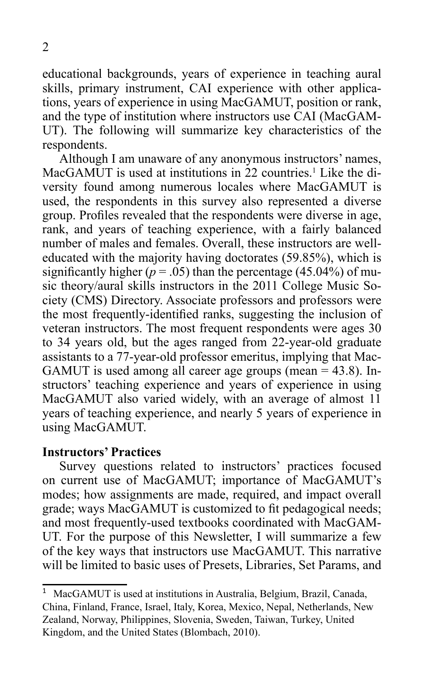educational backgrounds, years of experience in teaching aural skills, primary instrument, CAI experience with other applications, years of experience in using MacGAMUT, position or rank, and the type of institution where instructors use CAI (MacGAM-UT). The following will summarize key characteristics of the respondents.

Although I am unaware of any anonymous instructors' names, MacGAMUT is used at institutions in 22 countries.<sup>1</sup> Like the diversity found among numerous locales where MacGAMUT is used, the respondents in this survey also represented a diverse group. Profiles revealed that the respondents were diverse in age, rank, and years of teaching experience, with a fairly balanced number of males and females. Overall, these instructors are welleducated with the majority having doctorates (59.85%), which is significantly higher  $(p = .05)$  than the percentage (45.04%) of music theory/aural skills instructors in the 2011 College Music Society (CMS) Directory. Associate professors and professors were the most frequently-identified ranks, suggesting the inclusion of veteran instructors. The most frequent respondents were ages 30 to 34 years old, but the ages ranged from 22-year-old graduate assistants to a 77-year-old professor emeritus, implying that Mac-GAMUT is used among all career age groups (mean = 43.8). Instructors' teaching experience and years of experience in using MacGAMUT also varied widely, with an average of almost 11 years of teaching experience, and nearly 5 years of experience in using MacGAMUT.

#### **Instructors' Practices**

Survey questions related to instructors' practices focused on current use of MacGAMUT; importance of MacGAMUT's modes; how assignments are made, required, and impact overall grade; ways MacGAMUT is customized to fit pedagogical needs; and most frequently-used textbooks coordinated with MacGAM-UT. For the purpose of this Newsletter, I will summarize a few of the key ways that instructors use MacGAMUT. This narrative will be limited to basic uses of Presets, Libraries, Set Params, and

<sup>1</sup> MacGAMUT is used at institutions in Australia, Belgium, Brazil, Canada, China, Finland, France, Israel, Italy, Korea, Mexico, Nepal, Netherlands, New Zealand, Norway, Philippines, Slovenia, Sweden, Taiwan, Turkey, United Kingdom, and the United States (Blombach, 2010).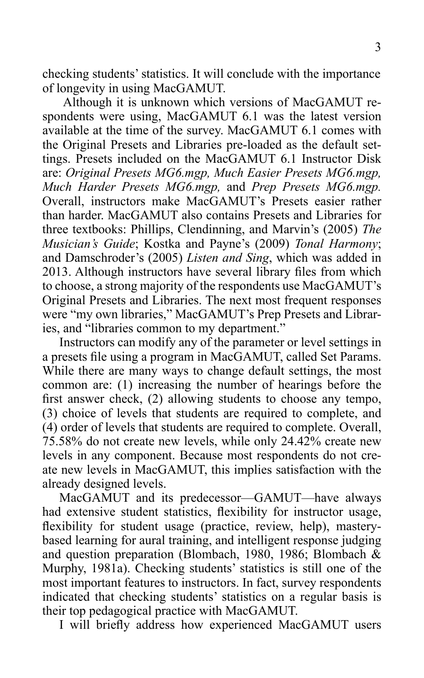checking students' statistics. It will conclude with the importance of longevity in using MacGAMUT.

Although it is unknown which versions of MacGAMUT respondents were using, MacGAMUT 6.1 was the latest version available at the time of the survey. MacGAMUT 6.1 comes with the Original Presets and Libraries pre-loaded as the default settings. Presets included on the MacGAMUT 6.1 Instructor Disk are: *Original Presets MG6.mgp, Much Easier Presets MG6.mgp, Much Harder Presets MG6.mgp,* and *Prep Presets MG6.mgp.* Overall, instructors make MacGAMUT's Presets easier rather than harder. MacGAMUT also contains Presets and Libraries for three textbooks: Phillips, Clendinning, and Marvin's (2005) *The Musician's Guide*; Kostka and Payne's (2009) *Tonal Harmony*; and Damschroder's (2005) *Listen and Sing*, which was added in 2013. Although instructors have several library files from which to choose, a strong majority of the respondents use MacGAMUT's Original Presets and Libraries. The next most frequent responses were "my own libraries," MacGAMUT's Prep Presets and Libraries, and "libraries common to my department."

Instructors can modify any of the parameter or level settings in a presets file using a program in MacGAMUT, called Set Params. While there are many ways to change default settings, the most common are: (1) increasing the number of hearings before the first answer check, (2) allowing students to choose any tempo, (3) choice of levels that students are required to complete, and (4) order of levels that students are required to complete. Overall, 75.58% do not create new levels, while only 24.42% create new levels in any component. Because most respondents do not create new levels in MacGAMUT, this implies satisfaction with the already designed levels.

MacGAMUT and its predecessor—GAMUT—have always had extensive student statistics, flexibility for instructor usage, flexibility for student usage (practice, review, help), masterybased learning for aural training, and intelligent response judging and question preparation (Blombach, 1980, 1986; Blombach & Murphy, 1981a). Checking students' statistics is still one of the most important features to instructors. In fact, survey respondents indicated that checking students' statistics on a regular basis is their top pedagogical practice with MacGAMUT.

I will briefly address how experienced MacGAMUT users